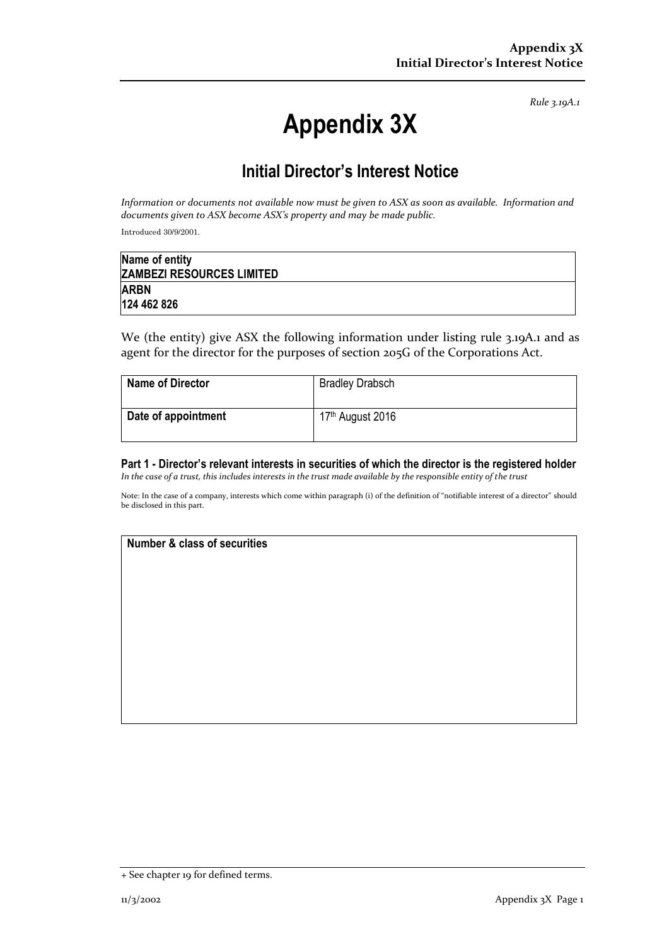*Rule 3.19A.1*

# **Appendix 3X**

## **Initial Director's Interest Notice**

*Information or documents not available now must be given to ASX as soon as available. Information and documents given to ASX become ASX's property and may be made public.*

Introduced 30/9/2001.

| Name of entity                   |  |
|----------------------------------|--|
| <b>ZAMBEZI RESOURCES LIMITED</b> |  |
| <b>ARBN</b>                      |  |
| 124 462 826                      |  |

We (the entity) give ASX the following information under listing rule 3.19A.1 and as agent for the director for the purposes of section 205G of the Corporations Act.

| <b>Name of Director</b> | <b>Bradley Drabsch</b>       |
|-------------------------|------------------------------|
| Date of appointment     | 17 <sup>th</sup> August 2016 |

**Part 1 - Director's relevant interests in securities of which the director is the registered holder** *In the case of a trust, this includes interests in the trust made available by the responsible entity of the trust*

Note: In the case of a company, interests which come within paragraph (i) of the definition of "notifiable interest of a director" should be disclosed in this part.

### **Number & class of securities**

<sup>+</sup> See chapter 19 for defined terms.